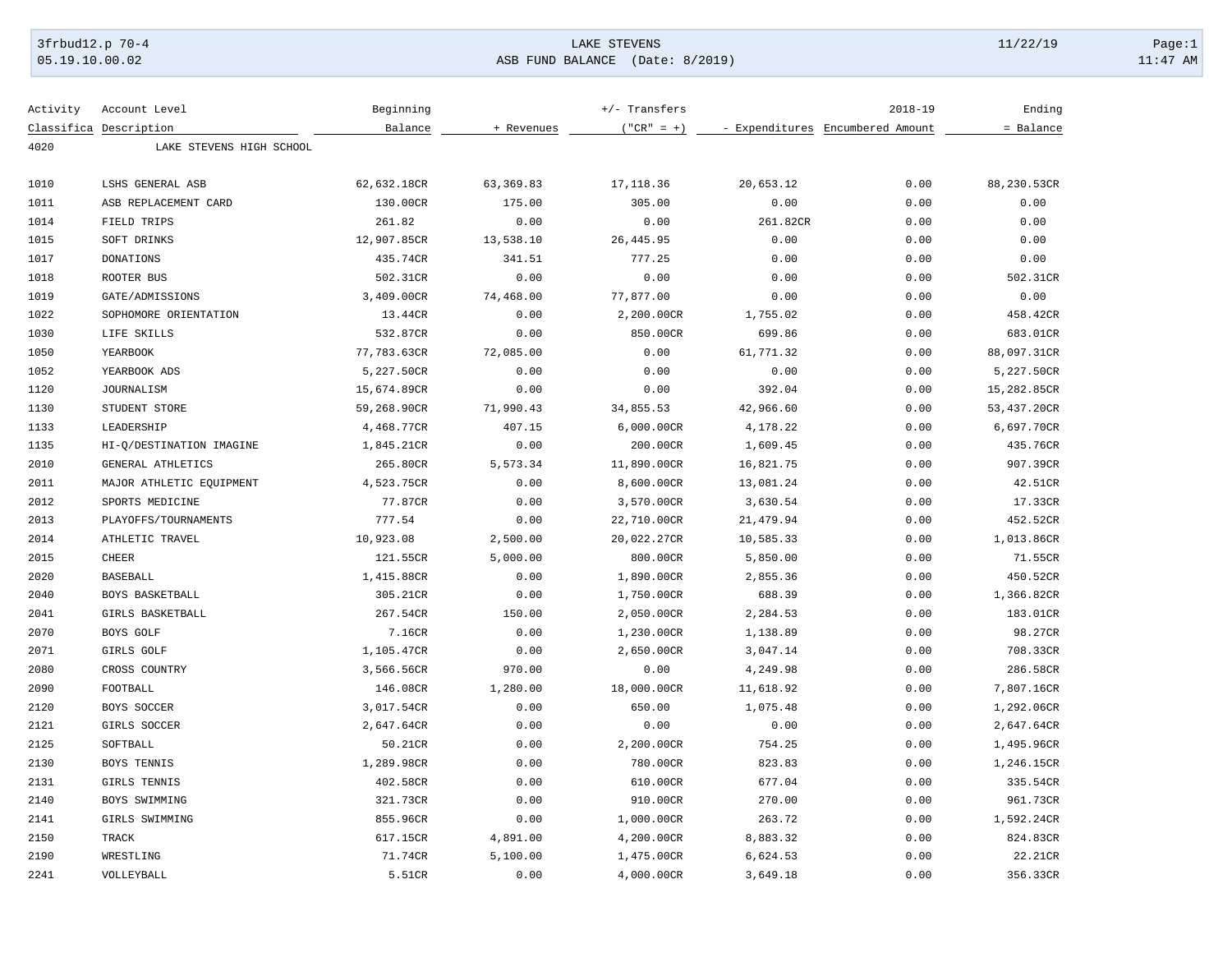## 3frbud12.p 70-4 Page:1 Page:1 Page:1 Page:1 Page:1 Page:1 Page:1 Page:1 Page:1 Page:1 Page:1 Page:1 Page:1 Page:1 Page:1 Page:1 Page:1 Page:1 Page:1 Page:1 Page:1 Page:1 Page:1 Page:1 Page:1 Page:1 Page:1 Page:1 Page:1 Pag 05.19.10.00.02 ASB FUND BALANCE (Date: 8/2019) 11:47 AM

| Activity | Account Level            | Beginning   |            | $+/-$ Transfers |           | $2018 - 19$                      | Ending      |
|----------|--------------------------|-------------|------------|-----------------|-----------|----------------------------------|-------------|
|          | Classifica Description   | Balance     | + Revenues | $('"CR" = +)$   |           | - Expenditures Encumbered Amount | = Balance   |
| 4020     | LAKE STEVENS HIGH SCHOOL |             |            |                 |           |                                  |             |
| 1010     | LSHS GENERAL ASB         | 62,632.18CR | 63, 369.83 | 17, 118.36      | 20,653.12 | 0.00                             | 88,230.53CR |
| 1011     | ASB REPLACEMENT CARD     | 130.00CR    | 175.00     | 305.00          | 0.00      | 0.00                             | 0.00        |
| 1014     | FIELD TRIPS              | 261.82      | 0.00       | 0.00            | 261.82CR  | 0.00                             | 0.00        |
| 1015     | SOFT DRINKS              | 12,907.85CR | 13,538.10  | 26, 445.95      | 0.00      | 0.00                             | 0.00        |
| 1017     | <b>DONATIONS</b>         | 435.74CR    | 341.51     | 777.25          | 0.00      | 0.00                             | 0.00        |
| 1018     | ROOTER BUS               | 502.31CR    | 0.00       | 0.00            | 0.00      | 0.00                             | 502.31CR    |
| 1019     | GATE/ADMISSIONS          | 3,409.00CR  | 74,468.00  | 77,877.00       | 0.00      | 0.00                             | 0.00        |
| 1022     | SOPHOMORE ORIENTATION    | 13.44CR     | 0.00       | 2,200.00CR      | 1,755.02  | 0.00                             | 458.42CR    |
| 1030     | LIFE SKILLS              | 532.87CR    | 0.00       | 850.00CR        | 699.86    | 0.00                             | 683.01CR    |
| 1050     | YEARBOOK                 | 77,783.63CR | 72,085.00  | 0.00            | 61,771.32 | 0.00                             | 88,097.31CR |
| 1052     | YEARBOOK ADS             | 5,227.50CR  | 0.00       | 0.00            | 0.00      | 0.00                             | 5,227.50CR  |
| 1120     | JOURNALISM               | 15,674.89CR | 0.00       | 0.00            | 392.04    | 0.00                             | 15,282.85CR |
| 1130     | STUDENT STORE            | 59,268.90CR | 71,990.43  | 34,855.53       | 42,966.60 | 0.00                             | 53,437.20CR |
| 1133     | LEADERSHIP               | 4,468.77CR  | 407.15     | 6,000.00CR      | 4,178.22  | 0.00                             | 6,697.70CR  |
| 1135     | HI-Q/DESTINATION IMAGINE | 1,845.21CR  | 0.00       | 200.00CR        | 1,609.45  | 0.00                             | 435.76CR    |
| 2010     | GENERAL ATHLETICS        | 265.80CR    | 5,573.34   | 11,890.00CR     | 16,821.75 | 0.00                             | 907.39CR    |
| 2011     | MAJOR ATHLETIC EQUIPMENT | 4,523.75CR  | 0.00       | 8,600.00CR      | 13,081.24 | 0.00                             | 42.51CR     |
|          |                          | 77.87CR     |            |                 |           |                                  |             |
| 2012     | SPORTS MEDICINE          |             | 0.00       | 3,570.00CR      | 3,630.54  | 0.00                             | 17.33CR     |
| 2013     | PLAYOFFS/TOURNAMENTS     | 777.54      | 0.00       | 22,710.00CR     | 21,479.94 | 0.00                             | 452.52CR    |
| 2014     | ATHLETIC TRAVEL          | 10,923.08   | 2,500.00   | 20,022.27CR     | 10,585.33 | 0.00                             | 1,013.86CR  |
| 2015     | CHEER                    | 121.55CR    | 5,000.00   | 800.00CR        | 5,850.00  | 0.00                             | 71.55CR     |
| 2020     | <b>BASEBALL</b>          | 1,415.88CR  | 0.00       | 1,890.00CR      | 2,855.36  | 0.00                             | 450.52CR    |
| 2040     | BOYS BASKETBALL          | 305.21CR    | 0.00       | 1,750.00CR      | 688.39    | 0.00                             | 1,366.82CR  |
| 2041     | GIRLS BASKETBALL         | 267.54CR    | 150.00     | 2,050.00CR      | 2,284.53  | 0.00                             | 183.01CR    |
| 2070     | BOYS GOLF                | 7.16CR      | 0.00       | 1,230.00CR      | 1,138.89  | 0.00                             | 98.27CR     |
| 2071     | GIRLS GOLF               | 1,105.47CR  | 0.00       | 2,650.00CR      | 3,047.14  | 0.00                             | 708.33CR    |
| 2080     | CROSS COUNTRY            | 3,566.56CR  | 970.00     | 0.00            | 4,249.98  | 0.00                             | 286.58CR    |
| 2090     | FOOTBALL                 | 146.08CR    | 1,280.00   | 18,000.00CR     | 11,618.92 | 0.00                             | 7,807.16CR  |
| 2120     | BOYS SOCCER              | 3,017.54CR  | 0.00       | 650.00          | 1,075.48  | 0.00                             | 1,292.06CR  |
| 2121     | GIRLS SOCCER             | 2,647.64CR  | 0.00       | 0.00            | 0.00      | 0.00                             | 2,647.64CR  |
| 2125     | SOFTBALL                 | 50.21CR     | 0.00       | 2,200.00CR      | 754.25    | 0.00                             | 1,495.96CR  |
| 2130     | BOYS TENNIS              | 1,289.98CR  | 0.00       | 780.00CR        | 823.83    | 0.00                             | 1,246.15CR  |
| 2131     | GIRLS TENNIS             | 402.58CR    | 0.00       | 610.00CR        | 677.04    | 0.00                             | 335.54CR    |
| 2140     | BOYS SWIMMING            | 321.73CR    | 0.00       | 910.00CR        | 270.00    | 0.00                             | 961.73CR    |
| 2141     | GIRLS SWIMMING           | 855.96CR    | 0.00       | 1,000.00CR      | 263.72    | 0.00                             | 1,592.24CR  |
| 2150     | TRACK                    | 617.15CR    | 4,891.00   | 4,200.00CR      | 8,883.32  | 0.00                             | 824.83CR    |
| 2190     | WRESTLING                | 71.74CR     | 5,100.00   | 1,475.00CR      | 6,624.53  | 0.00                             | 22.21CR     |
| 2241     | VOLLEYBALL               | 5.51CR      | 0.00       | 4,000.00CR      | 3,649.18  | 0.00                             | 356.33CR    |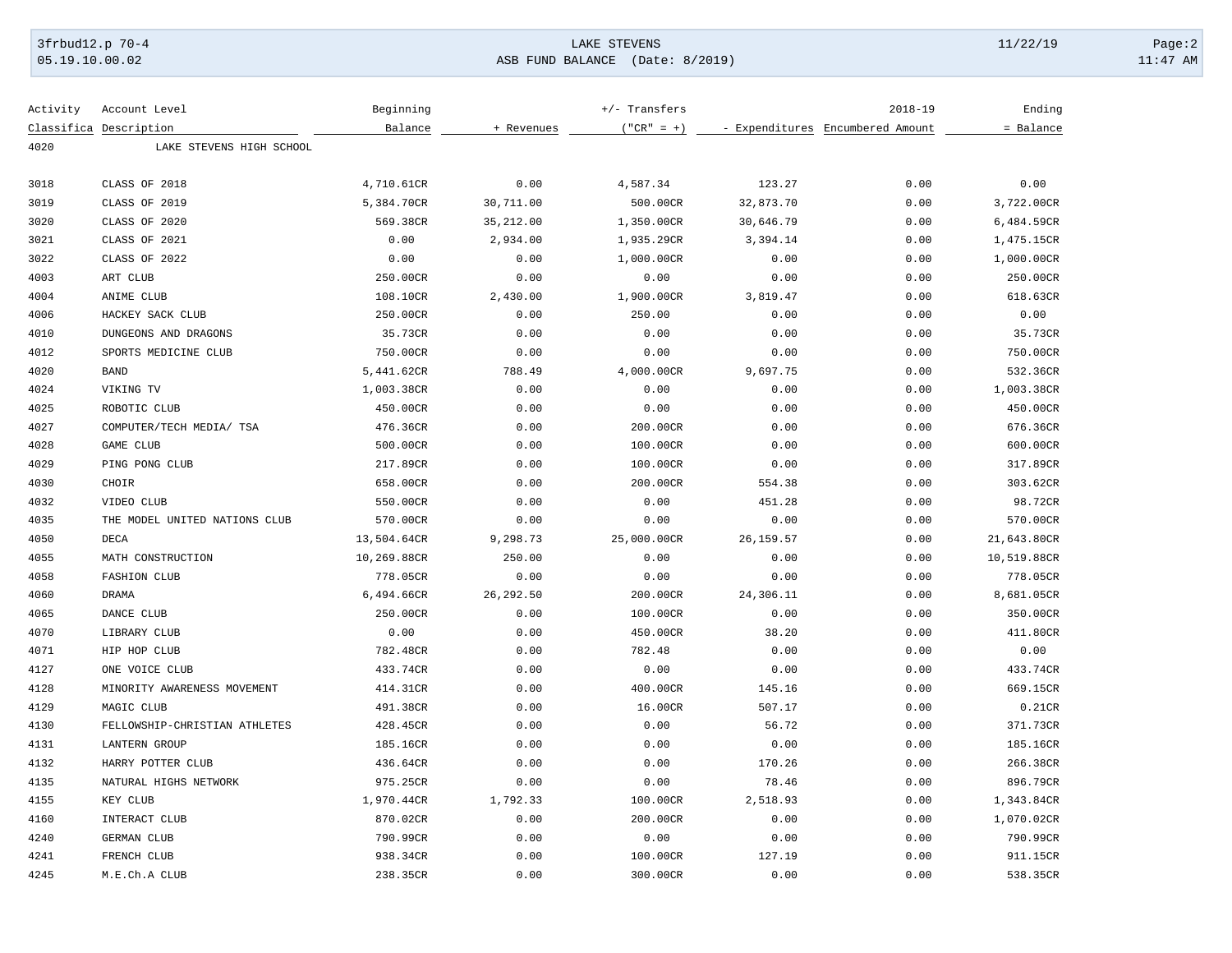## 3frbud12.p 70-4 Page:2 Page:2 Page:2 Page:2 Page:2 Page:2 Page:2 Page:2 Page:2 Page:2 Page:2 Page:2 Page:2 Page:2 Page:2 Page:2 Page:2 Page:2 Page:2 Page:2 Page:2 Page:2 Page:2 Page:2 Page:2 Page:2 Page:2 Page:2 Page:2 Pag

05.19.10.00.02 ASB FUND BALANCE (Date: 8/2019) 11:47 AM

| Activity | Account Level                 | Beginning   |            | +/- Transfers | $2018 - 19$                      |      | Ending      |  |
|----------|-------------------------------|-------------|------------|---------------|----------------------------------|------|-------------|--|
|          | Classifica Description        | Balance     | + Revenues | $("CR" = +)$  | - Expenditures Encumbered Amount |      | = Balance   |  |
| 4020     | LAKE STEVENS HIGH SCHOOL      |             |            |               |                                  |      |             |  |
| 3018     | CLASS OF 2018                 | 4,710.61CR  | 0.00       | 4,587.34      | 123.27                           | 0.00 | 0.00        |  |
| 3019     | CLASS OF 2019                 | 5,384.70CR  | 30,711.00  | 500.00CR      | 32,873.70                        | 0.00 | 3,722.00CR  |  |
| 3020     | CLASS OF 2020                 | 569.38CR    | 35,212.00  | 1,350.00CR    | 30,646.79                        | 0.00 | 6,484.59CR  |  |
| 3021     | CLASS OF 2021                 | 0.00        | 2,934.00   | 1,935.29CR    | 3,394.14                         | 0.00 | 1,475.15CR  |  |
| 3022     | CLASS OF 2022                 | 0.00        | 0.00       | 1,000.00CR    | 0.00                             | 0.00 | 1,000.00CR  |  |
| 4003     | ART CLUB                      | 250.00CR    | 0.00       | 0.00          | 0.00                             | 0.00 | 250.00CR    |  |
| 4004     | ANIME CLUB                    | 108.10CR    | 2,430.00   | 1,900.00CR    | 3,819.47                         | 0.00 | 618.63CR    |  |
| 4006     | HACKEY SACK CLUB              | 250.00CR    | 0.00       | 250.00        | 0.00                             | 0.00 | 0.00        |  |
| 4010     | DUNGEONS AND DRAGONS          | 35.73CR     | 0.00       | 0.00          | 0.00                             | 0.00 | 35.73CR     |  |
| 4012     | SPORTS MEDICINE CLUB          | 750.00CR    | 0.00       | 0.00          | 0.00                             | 0.00 | 750.00CR    |  |
| 4020     | <b>BAND</b>                   | 5,441.62CR  | 788.49     | 4,000.00CR    | 9,697.75                         | 0.00 | 532.36CR    |  |
| 4024     | VIKING TV                     | 1,003.38CR  | 0.00       | 0.00          | 0.00                             | 0.00 | 1,003.38CR  |  |
| 4025     | ROBOTIC CLUB                  | 450.00CR    | 0.00       | 0.00          | 0.00                             | 0.00 | 450.00CR    |  |
| 4027     | COMPUTER/TECH MEDIA/ TSA      | 476.36CR    | 0.00       | 200.00CR      | 0.00                             | 0.00 | 676.36CR    |  |
| 4028     | <b>GAME CLUB</b>              | 500.00CR    | 0.00       | 100.00CR      | 0.00                             | 0.00 | 600.00CR    |  |
| 4029     | PING PONG CLUB                | 217.89CR    | 0.00       | 100.00CR      | 0.00                             | 0.00 | 317.89CR    |  |
| 4030     | CHOIR                         | 658.00CR    | 0.00       | 200.00CR      | 554.38                           | 0.00 | 303.62CR    |  |
| 4032     | VIDEO CLUB                    | 550.00CR    | 0.00       | 0.00          | 451.28                           | 0.00 | 98.72CR     |  |
| 4035     | THE MODEL UNITED NATIONS CLUB | 570.00CR    | 0.00       | 0.00          | 0.00                             | 0.00 | 570.00CR    |  |
| 4050     | <b>DECA</b>                   | 13,504.64CR | 9,298.73   | 25,000.00CR   | 26, 159.57                       | 0.00 | 21,643.80CR |  |
| 4055     | MATH CONSTRUCTION             | 10,269.88CR | 250.00     | 0.00          | 0.00                             | 0.00 | 10,519.88CR |  |
| 4058     | <b>FASHION CLUB</b>           | 778.05CR    | 0.00       | 0.00          | 0.00                             | 0.00 | 778.05CR    |  |
| 4060     | <b>DRAMA</b>                  | 6,494.66CR  | 26, 292.50 | 200.00CR      | 24,306.11                        | 0.00 | 8,681.05CR  |  |
| 4065     | DANCE CLUB                    | 250.00CR    | 0.00       | 100.00CR      | 0.00                             | 0.00 | 350.00CR    |  |
| 4070     | LIBRARY CLUB                  | 0.00        | 0.00       | 450.00CR      | 38.20                            | 0.00 | 411.80CR    |  |
| 4071     | HIP HOP CLUB                  | 782.48CR    | 0.00       | 782.48        | 0.00                             | 0.00 | 0.00        |  |
| 4127     | ONE VOICE CLUB                | 433.74CR    | 0.00       | 0.00          | 0.00                             | 0.00 | 433.74CR    |  |
| 4128     | MINORITY AWARENESS MOVEMENT   | 414.31CR    | 0.00       | 400.00CR      | 145.16                           | 0.00 | 669.15CR    |  |
| 4129     | MAGIC CLUB                    | 491.38CR    | 0.00       | 16.00CR       | 507.17                           | 0.00 | 0.21CR      |  |
| 4130     | FELLOWSHIP-CHRISTIAN ATHLETES | 428.45CR    | 0.00       | 0.00          | 56.72                            | 0.00 | 371.73CR    |  |
| 4131     | <b>LANTERN GROUP</b>          | 185.16CR    | 0.00       | 0.00          | 0.00                             | 0.00 | 185.16CR    |  |
| 4132     | HARRY POTTER CLUB             | 436.64CR    | 0.00       | 0.00          | 170.26                           | 0.00 | 266.38CR    |  |
| 4135     | NATURAL HIGHS NETWORK         | 975.25CR    | 0.00       | 0.00          | 78.46                            | 0.00 | 896.79CR    |  |
| 4155     | KEY CLUB                      | 1,970.44CR  | 1,792.33   | 100.00CR      | 2,518.93                         | 0.00 | 1,343.84CR  |  |
| 4160     | INTERACT CLUB                 | 870.02CR    | 0.00       | 200.00CR      | 0.00                             | 0.00 | 1,070.02CR  |  |
| 4240     | GERMAN CLUB                   | 790.99CR    | 0.00       | 0.00          | 0.00                             | 0.00 | 790.99CR    |  |
| 4241     | FRENCH CLUB                   | 938.34CR    | 0.00       | 100.00CR      | 127.19                           | 0.00 | 911.15CR    |  |
| 4245     | M.E.Ch.A CLUB                 | 238.35CR    | 0.00       | 300.00CR      | 0.00                             | 0.00 | 538.35CR    |  |